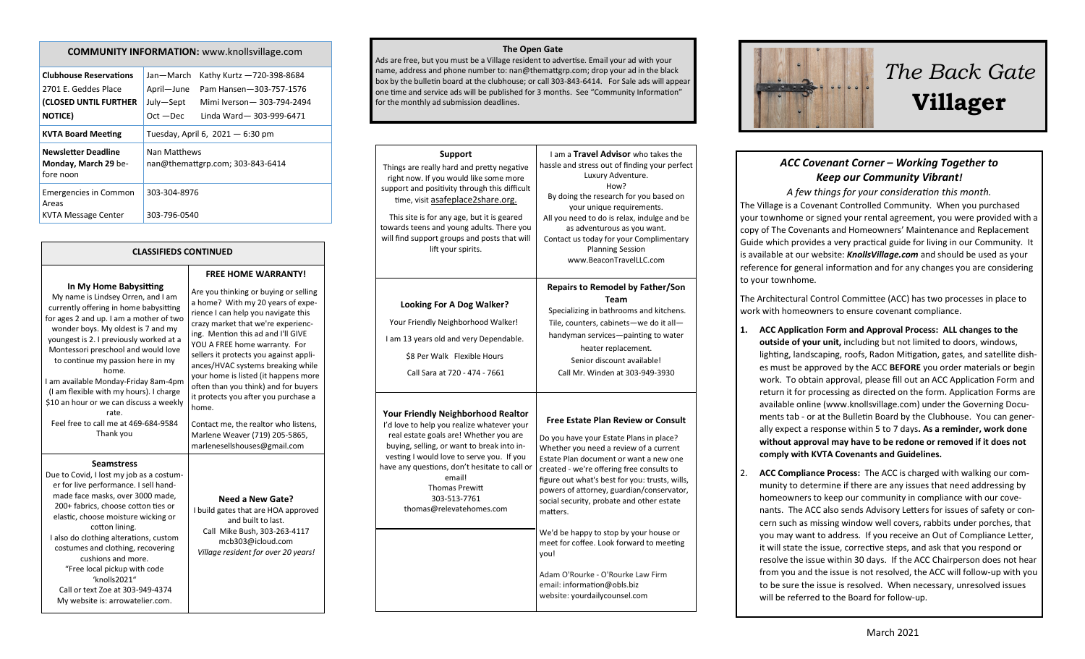### **COMMUNITY INFORMATION:** www.knollsvillage.com

| <b>Clubhouse Reservations</b><br>2701 E. Geddes Place<br>(CLOSED UNTIL FURTHER<br><b>NOTICE</b> ) | Jan-March<br>April-June<br>July-Sept<br>$Oct - Dec$ | Kathy Kurtz -720-398-8684<br>Pam Hansen-303-757-1576<br>Mimi Iverson-303-794-2494<br>Linda Ward-303-999-6471 |
|---------------------------------------------------------------------------------------------------|-----------------------------------------------------|--------------------------------------------------------------------------------------------------------------|
| <b>KVTA Board Meeting</b>                                                                         | Tuesday, April 6, $2021 - 6:30$ pm                  |                                                                                                              |
| <b>Newsletter Deadline</b><br>Monday, March 29 be-<br>fore noon                                   | Nan Matthews<br>nan@themattgrp.com; 303-843-6414    |                                                                                                              |
| <b>Emergencies in Common</b><br>Areas<br>KVTA Message Center                                      | 303-304-8976<br>303-796-0540                        |                                                                                                              |

### **CLASSIFIEDS CONTINUED**

#### **In My Home Babysitting**

My name is Lindsey Orren, and I am currently offering in home babysitting for ages 2 and up. I am a mother of two wonder boys. My oldest is 7 and my youngest is 2. I previously worked at a Montessori preschool and would love to continue my passion here in my home. I am available Monday-Friday 8am-4pm (I am flexible with my hours). I charge \$10 an hour or we can discuss a weekly rate. Feel free to call me at 469-684-9584 Thank you

**Seamstress**

Due to Covid, I lost my job as a costumer for live performance. I sell handmade face masks, over 3000 made, 200+ fabrics, choose cotton ties or elastic, choose moisture wicking or cotton lining. I also do clothing alterations, custom costumes and clothing, recovering cushions and more. "Free local pickup with code 'knolls2021" Call or text Zoe at 303-949-4374 My website is: arrowatelier.com.

**FREE HOME WARRANTY!** Are you thinking or buying or selling a home? With my 20 years of experience I can help you navigate this crazy market that we're experiencing. Mention this ad and I'll GIVE YOU A FREE home warranty. For sellers it protects you against appliances/HVAC systems breaking while your home is listed (it happens more often than you think) and for buyers it protects you after you purchase a home. Contact me, the realtor who listens, Marlene Weaver (719) 205-5865, marlenesellshouses@gmail.com

### **Need a New Gate?** I build gates that are HOA approved and built to last. Call Mike Bush, 303-263-4117 mcb303@icloud.com *Village resident for over 20 years!*

**The Open Gate** 

Ads are free, but you must be a Village resident to advertise. Email your ad with your name, address and phone number to: nan@themattgrp.com; drop your ad in the black box by the bulletin board at the clubhouse; or call 303-843-6414. For Sale ads will appear one time and service ads will be published for 3 months. See "Community Information" for the monthly ad submission deadlines.

| <b>Support</b><br>Things are really hard and pretty negative<br>right now. If you would like some more<br>support and positivity through this difficult<br>time, visit asafeplace2share.org.<br>This site is for any age, but it is geared<br>towards teens and young adults. There you<br>will find support groups and posts that will<br>lift your spirits. | I am a <b>Travel Advisor</b> who takes the<br>hassle and stress out of finding your perfect<br>Luxury Adventure.<br>How?<br>By doing the research for you based on<br>your unique requirements.<br>All you need to do is relax, indulge and be<br>as adventurous as you want.<br>Contact us today for your Complimentary<br><b>Planning Session</b><br>www.BeaconTravelLLC.com                                                                                                                                                                                                   |
|---------------------------------------------------------------------------------------------------------------------------------------------------------------------------------------------------------------------------------------------------------------------------------------------------------------------------------------------------------------|----------------------------------------------------------------------------------------------------------------------------------------------------------------------------------------------------------------------------------------------------------------------------------------------------------------------------------------------------------------------------------------------------------------------------------------------------------------------------------------------------------------------------------------------------------------------------------|
| <b>Looking For A Dog Walker?</b><br>Your Friendly Neighborhood Walker!<br>I am 13 years old and very Dependable.<br>\$8 Per Walk Flexible Hours<br>Call Sara at 720 - 474 - 7661                                                                                                                                                                              | <b>Repairs to Remodel by Father/Son</b><br>Team<br>Specializing in bathrooms and kitchens.<br>Tile, counters, cabinets-we do it all-<br>handyman services-painting to water<br>heater replacement.<br>Senior discount available!<br>Call Mr. Winden at 303-949-3930                                                                                                                                                                                                                                                                                                              |
| <b>Your Friendly Neighborhood Realtor</b><br>I'd love to help you realize whatever your<br>real estate goals are! Whether you are<br>buying, selling, or want to break into in-<br>vesting I would love to serve you. If you<br>have any questions, don't hesitate to call or<br>email!<br><b>Thomas Prewitt</b><br>303-513-7761<br>thomas@relevatehomes.com  | <b>Free Estate Plan Review or Consult</b><br>Do you have your Estate Plans in place?<br>Whether you need a review of a current<br>Estate Plan document or want a new one<br>created - we're offering free consults to<br>figure out what's best for you: trusts, wills,<br>powers of attorney, guardian/conservator,<br>social security, probate and other estate<br>matters.<br>We'd be happy to stop by your house or<br>meet for coffee. Look forward to meeting<br>you!<br>Adam O'Rourke - O'Rourke Law Firm<br>email: information@obls.biz<br>website: yourdailycounsel.com |



# *The Back Gate*  **Villager**

## *ACC Covenant Corner – Working Together to Keep our Community Vibrant!*

*A few things for your consideration this month.* The Village is a Covenant Controlled Community. When you purchased your townhome or signed your rental agreement, you were provided with a copy of The Covenants and Homeowners' Maintenance and Replacement Guide which provides a very practical guide for living in our Community. It is available at our website: *KnollsVillage.com* and should be used as your reference for general information and for any changes you are considering to your townhome.

The Architectural Control Committee (ACC) has two processes in place to work with homeowners to ensure covenant compliance.

- **1. ACC Application Form and Approval Process: ALL changes to the outside of your unit,** including but not limited to doors, windows, lighting, landscaping, roofs, Radon Mitigation, gates, and satellite dishes must be approved by the ACC **BEFORE** you order materials or begin work. To obtain approval, please fill out an ACC Application Form and return it for processing as directed on the form. Application Forms are available online (www.knollsvillage.com) under the Governing Documents tab - or at the Bulletin Board by the Clubhouse. You can generally expect a response within 5 to 7 days**. As a reminder, work done without approval may have to be redone or removed if it does not comply with KVTA Covenants and Guidelines.**
- 2. **ACC Compliance Process:** The ACC is charged with walking our community to determine if there are any issues that need addressing by homeowners to keep our community in compliance with our covenants. The ACC also sends Advisory Letters for issues of safety or concern such as missing window well covers, rabbits under porches, that you may want to address. If you receive an Out of Compliance Letter, it will state the issue, corrective steps, and ask that you respond or resolve the issue within 30 days. If the ACC Chairperson does not hear from you and the issue is not resolved, the ACC will follow-up with you to be sure the issue is resolved. When necessary, unresolved issues will be referred to the Board for follow-up.